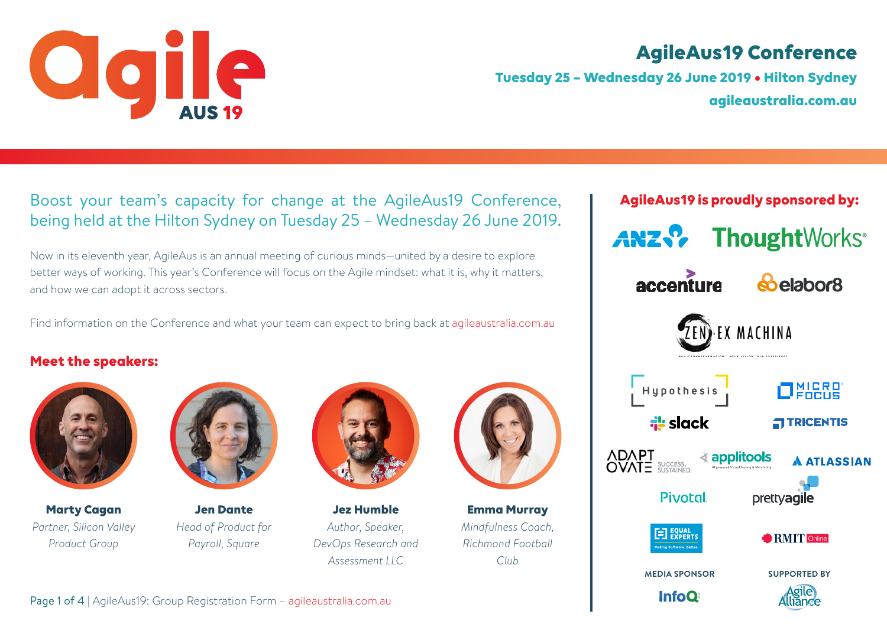

# **AgileAus19 Conference**

**Tuesday 25 – Wednesday 26 June 2019 • Hilton Sydney agileaustralia.com.au**

# Boost your team's capacity for change at the AgileAus19 Conference, being held at the Hilton Sydney on Tuesday 25 – Wednesday 26 June 2019.

Now in its eleventh year, AgileAus is an annual meeting of curious minds—united by a desire to explore better ways of working. This year's Conference will focus on the Agile mindset: what it is, why it matters, and how we can adopt it across sectors.

Find information on the Conference and what your team can expect to bring back at agileaustralia.com.au

#### **Meet the speakers:**



**Marty Cagan** *Partner, Silicon Valley Product Group*



**Jen Dante** *Head of Product for Payroll, Square*



**Jez Humble** *Author, Speaker, DevOps Research and Assessment LLC*



**Emma Murray** *Mindfulness Coach, Richmond Football Club*

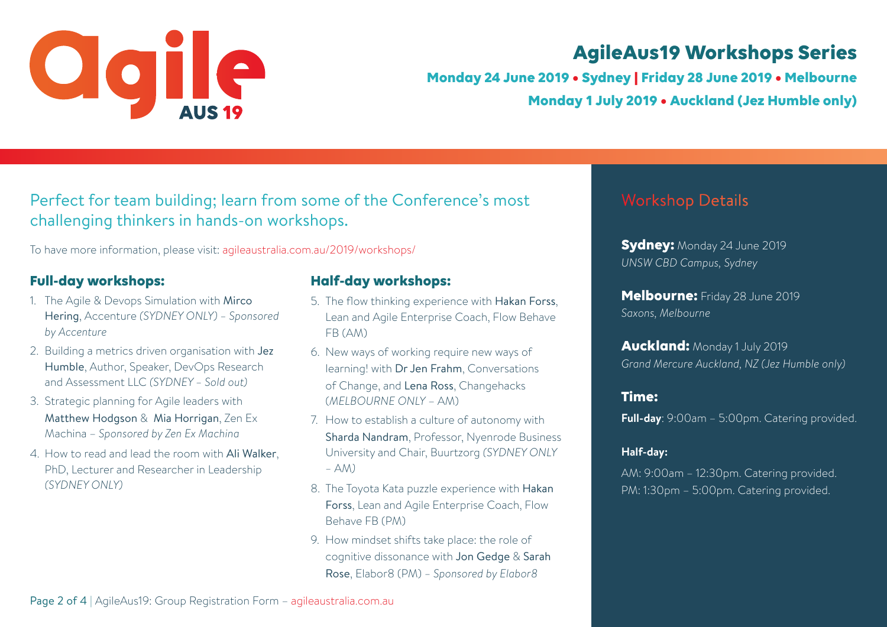

# **AgileAus19 Workshops Series**

**Monday 24 June 2019 • Sydney | Friday 28 June 2019 • Melbourne Monday 1 July 2019 • Auckland (Jez Humble only)**

# Perfect for team building; learn from some of the Conference's most challenging thinkers in hands-on workshops.

To have more information, please visit: agileaustralia.com.au/2019/workshops/

## **Full-day workshops:**

- 1. The Agile & Devops Simulation with Mirco Hering, Accenture *(SYDNEY ONLY) – Sponsored by Accenture*
- 2. Building a metrics driven organisation with Jez Humble, Author, Speaker, DevOps Research and Assessment LLC *(SYDNEY – Sold out)*
- 3. Strategic planning for Agile leaders with Matthew Hodgson & Mia Horrigan, Zen Ex Machina – *Sponsored by Zen Ex Machina*
- 4. How to read and lead the room with Ali Walker, PhD, Lecturer and Researcher in Leadership *(SYDNEY ONLY)*

#### **Half-day workshops:**

- 5. The flow thinking experience with Hakan Forss, Lean and Agile Enterprise Coach, Flow Behave FB (AM)
- 6. New ways of working require new ways of learning! with Dr Jen Frahm, Conversations of Change, and Lena Ross, Changehacks (*MELBOURNE ONLY* – AM)
- 7. How to establish a culture of autonomy with Sharda Nandram, Professor, Nyenrode Business University and Chair, Buurtzorg *(SYDNEY ONLY –* AM*)*
- 8. The Toyota Kata puzzle experience with Hakan Forss, Lean and Agile Enterprise Coach, Flow Behave FB (PM)
- 9. How mindset shifts take place: the role of cognitive dissonance with Jon Gedge & Sarah Rose, Elabor8 (PM) *– Sponsored by Elabor8*

# Workshop Details

**Sydney:** Monday 24 June 2019 *UNSW CBD Campus, Sydney*

**Melbourne:** Friday 28 June 2019 *Saxons, Melbourne*

**Auckland:** Monday 1 July 2019 *Grand Mercure Auckland, NZ (Jez Humble only)*

#### **Time:**

**Full-day**: 9:00am – 5:00pm. Catering provided.

#### **Half-day:**

AM: 9:00am – 12:30pm. Catering provided. PM: 1:30pm – 5:00pm. Catering provided.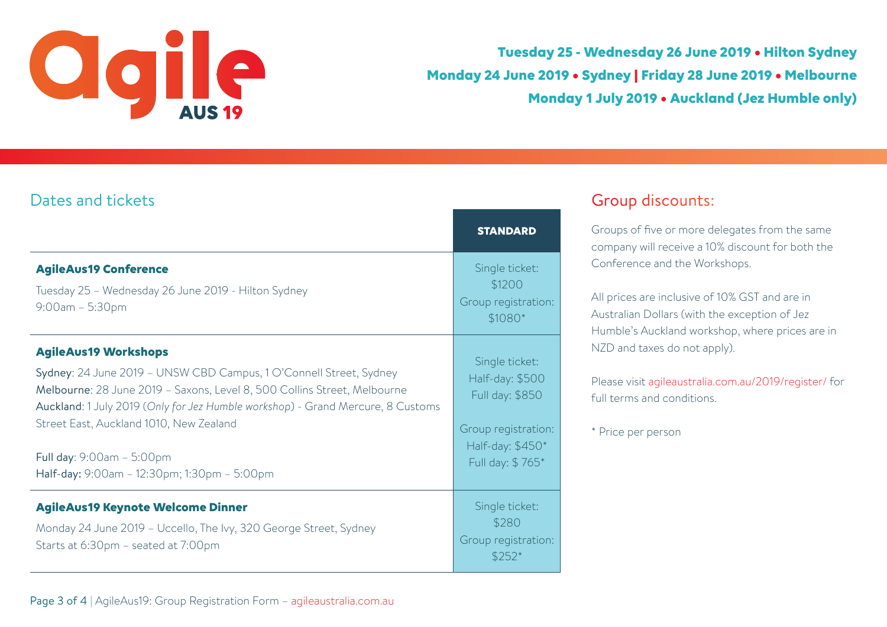

**Tuesday 25 - Wednesday 26 June 2019 • Hilton Sydney Monday 24 June 2019 • Sydney | Friday 28 June 2019 • Melbourne Monday 1 July 2019 • Auckland (Jez Humble only)**

### Dates and tickets

|                                                                                                                                                                                                                                                                                                                                                                                         | <b>STANDARD</b>                                                                                                     |
|-----------------------------------------------------------------------------------------------------------------------------------------------------------------------------------------------------------------------------------------------------------------------------------------------------------------------------------------------------------------------------------------|---------------------------------------------------------------------------------------------------------------------|
| <b>AgileAus19 Conference</b><br>Tuesday 25 - Wednesday 26 June 2019 - Hilton Sydney<br>$9:00$ am - 5:30pm                                                                                                                                                                                                                                                                               | Single ticket:<br>\$1200<br>Group registration:<br>\$1080*                                                          |
| <b>AgileAus19 Workshops</b><br>Sydney: 24 June 2019 - UNSW CBD Campus, 1 O'Connell Street, Sydney<br>Melbourne: 28 June 2019 - Saxons, Level 8, 500 Collins Street, Melbourne<br>Auckland: 1 July 2019 (Only for Jez Humble workshop) - Grand Mercure, 8 Customs<br>Street East, Auckland 1010, New Zealand<br>Full day: 9:00am - 5:00pm<br>Half-day: 9:00am - 12:30pm; 1:30pm - 5:00pm | Single ticket:<br>Half-day: \$500<br>Full day: \$850<br>Group registration:<br>Half-day: \$450*<br>Full day: \$765* |
| <b>AgileAus19 Keynote Welcome Dinner</b><br>Monday 24 June 2019 - Uccello, The Ivy, 320 George Street, Sydney<br>Starts at 6:30pm - seated at 7:00pm                                                                                                                                                                                                                                    | Single ticket:<br>\$280<br>Group registration:<br>$$252*$                                                           |

### Group discounts:

Groups of five or more delegates from the same company will receive a 10% discount for both the Conference and the Workshops.

All prices are inclusive of 10% GST and are in Australian Dollars (with the exception of Jez Humble's Auckland workshop, where prices are in NZD and taxes do not apply).

Please visit agileaustralia.com.au/2019/register/ for full terms and conditions.

\* Price per person

Page 3 of 4 | AgileAus19: Group Registration Form - agileaustralia.com.au